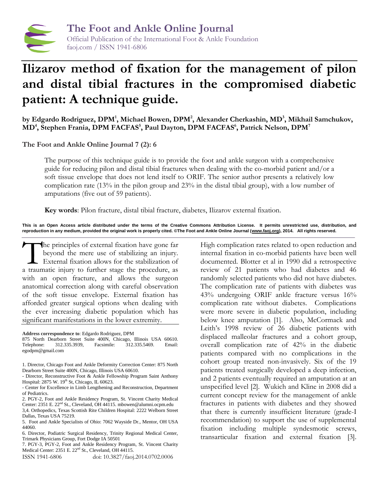

# **Ilizarov method of fixation for the management of pilon and distal tibial fractures in the compromised diabetic patient: A technique guide.**

**by Edgardo Rodriguez, DPM<sup>1</sup> , Michael Bowen, DPM<sup>2</sup> , Alexander Cherkashin, MD<sup>3</sup> , Mikhail Samchukov, MD<sup>4</sup> , Stephen Frania, DPM FACFAS<sup>5</sup> , Paul Dayton, DPM FACFAS<sup>6</sup> , Patrick Nelson, DPM<sup>7</sup>**

**The Foot and Ankle Online Journal 7 (2): 6**

The purpose of this technique guide is to provide the foot and ankle surgeon with a comprehensive guide for reducing pilon and distal tibial fractures when dealing with the co-morbid patient and/or a soft tissue envelope that does not lend itself to ORIF. The senior author presents a relatively low complication rate (13% in the pilon group and 23% in the distal tibial group), with a low number of amputations (five out of 59 patients).

**Key words**: Pilon fracture, distal tibial fracture, diabetes, Ilizarov external fixation.

**This is an Open Access article distributed under the terms of the Creative Commons Attribution License. It permits unrestricted use, distribution, and reproduction in any medium, provided the original work is properly cited. ©The Foot and Ankle Online Journal [\(www.faoj.org\)](http://www.faoj.org/), 2014. All rights reserved.**

he principles of external fixation have gone far beyond the mere use of stabilizing an injury. External fixation allows for the stabilization of The principles of external fixation have gone far<br>beyond the mere use of stabilizing an injury.<br>External fixation allows for the stabilization of<br>a traumatic injury to further stage the procedure, as with an open fracture, and allows the surgeon anatomical correction along with careful observation of the soft tissue envelope. External fixation has afforded greater surgical options when dealing with the ever increasing diabetic population which has significant manifestations in the lower extremity.

**Address correspondence to**: Edgardo Rodriguez, DPM

875 North Dearborn Street Suite 400N, Chicago, Illinois USA 60610. Telephone: 312.335.3939, Facsimile: 312.335.5469. Email: egodpm@gmail.com

2. PGY-2, Foot and Ankle Residency Program, St. Vincent Charity Medical Center: 2351 E. 22nd St., Cleveland, OH 44115. mbowen@alumni.ocpm.edu 3,4. Orthopedics, Texas Scottish Rite Children Hospital: 2222 Welborn Street Dallas, Texas USA 75219.

7. PGY-3, PGY-2, Foot and Ankle Residency Program, St. Vincent Charity Medical Center: 2351 E. 22<sup>nd</sup> St., Cleveland, OH 44115.

ISSN 1941-6806 doi: 10.3827/faoj.2014.0702.0006

High complication rates related to open reduction and internal fixation in co-morbid patients have been well documented. Blotter et al in 1990 did a retrospective review of 21 patients who had diabetes and 46 randomly selected patients who did not have diabetes. The complication rate of patients with diabetes was 43% undergoing ORIF ankle fracture versus 16% complication rate without diabetes. Complications were more severe in diabetic population, including below knee amputation [1]. Also, McCormack and Leith's 1998 review of 26 diabetic patients with displaced malleolar fractures and a cohort group, overall complication rate of 42% in the diabetic patients compared with no complications in the cohort group treated non-invasively. Six of the 19 patients treated surgically developed a deep infection, and 2 patients eventually required an amputation at an unspecified level [2]. Wukich and Kline in 2008 did a current concept review for the management of ankle fractures in patients with diabetes and they showed that there is currently insufficient literature (grade-I recommendation) to support the use of supplemental fixation including multiple syndesmotic screws, transarticular fixation and external fixation [3].

<sup>1.</sup> Director, Chicago Foot and Ankle Deformity Correction Center: 875 North Dearborn Street Suite 400N, Chicago, Illinois USA 60610.

<sup>-</sup> Director, Reconstructive Foot & Ankle Fellowship Program Saint Anthony Hospital: 2875 W. 19<sup>th</sup> St, Chicago, IL 60623.

<sup>-</sup> Center for Excellence in Limb Lengthening and Reconstruction, Department of Pediatrics.

<sup>5.</sup> Foot and Ankle Specialists of Ohio: 7062 Wayside Dr., Mentor, OH USA 44060.

<sup>6.</sup> Director, Podiatric Surgical Residency, Trinity Regional Medical Center, Trimark Physicians Group, Fort Dodge IA 50501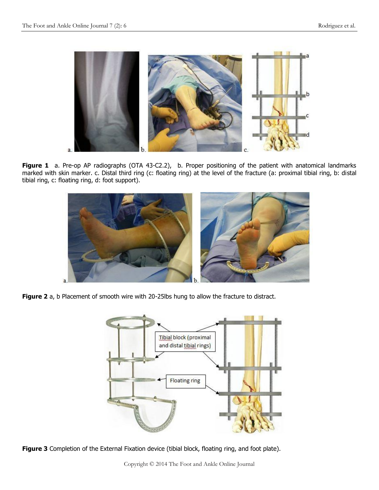

Figure 1 a. Pre-op AP radiographs (OTA 43-C2.2), b. Proper positioning of the patient with anatomical landmarks marked with skin marker. c. Distal third ring (c: floating ring) at the level of the fracture (a: proximal tibial ring, b: distal tibial ring, c: floating ring, d: foot support).



**Figure 2** a, b Placement of smooth wire with 20-25lbs hung to allow the fracture to distract.



Figure 3 Completion of the External Fixation device (tibial block, floating ring, and foot plate).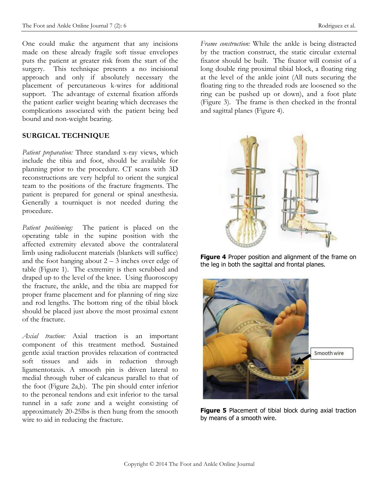One could make the argument that any incisions made on these already fragile soft tissue envelopes puts the patient at greater risk from the start of the surgery. This technique presents a no incisional approach and only if absolutely necessary the placement of percutaneous k-wires for additional support. The advantage of external fixation affords the patient earlier weight bearing which decreases the complications associated with the patient being bed bound and non-weight bearing.

#### **SURGICAL TECHNIQUE**

*Patient preparation:* Three standard x-ray views, which include the tibia and foot, should be available for planning prior to the procedure. CT scans with 3D reconstructions are very helpful to orient the surgical team to the positions of the fracture fragments. The patient is prepared for general or spinal anesthesia. Generally a tourniquet is not needed during the procedure.

*Patient positioning:* The patient is placed on the operating table in the supine position with the affected extremity elevated above the contralateral limb using radiolucent materials (blankets will suffice) and the foot hanging about  $2 - 3$  inches over edge of table (Figure 1). The extremity is then scrubbed and draped up to the level of the knee. Using fluoroscopy the fracture, the ankle, and the tibia are mapped for proper frame placement and for planning of ring size and rod lengths. The bottom ring of the tibial block should be placed just above the most proximal extent of the fracture.

*Axial traction:* Axial traction is an important component of this treatment method. Sustained gentle axial traction provides relaxation of contracted soft tissues and aids in reduction through ligamentotaxis. A smooth pin is driven lateral to medial through tuber of calcaneus parallel to that of the foot (Figure 2a,b). The pin should enter inferior to the peroneal tendons and exit inferior to the tarsal tunnel in a safe zone and a weight consisting of approximately 20-25lbs is then hung from the smooth wire to aid in reducing the fracture.

*Frame construction:* While the ankle is being distracted by the traction construct, the static circular external fixator should be built. The fixator will consist of a long double ring proximal tibial block, a floating ring at the level of the ankle joint (All nuts securing the floating ring to the threaded rods are loosened so the ring can be pushed up or down), and a foot plate (Figure 3). The frame is then checked in the frontal and sagittal planes (Figure 4).







**Figure 5** Placement of tibial block during axial traction by means of a smooth wire.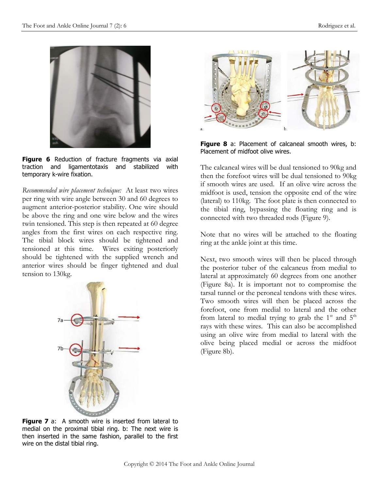

Figure 6 Reduction of fracture fragments via axial traction and ligamentotaxis and stabilized with temporary k-wire fixation.

*Recommended wire placement technique:* At least two wires per ring with wire angle between 30 and 60 degrees to augment anterior-posterior stability. One wire should be above the ring and one wire below and the wires twin tensioned. This step is then repeated at 60 degree angles from the first wires on each respective ring. The tibial block wires should be tightened and tensioned at this time. Wires exiting posteriorly should be tightened with the supplied wrench and anterior wires should be finger tightened and dual tension to 130kg.





**Figure 8** a: Placement of calcaneal smooth wires, b: Placement of midfoot olive wires.

The calcaneal wires will be dual tensioned to 90kg and then the forefoot wires will be dual tensioned to 90kg if smooth wires are used. If an olive wire across the midfoot is used, tension the opposite end of the wire (lateral) to 110kg. The foot plate is then connected to the tibial ring, bypassing the floating ring and is connected with two threaded rods (Figure 9).

Note that no wires will be attached to the floating ring at the ankle joint at this time.

Next, two smooth wires will then be placed through the posterior tuber of the calcaneus from medial to lateral at approximately 60 degrees from one another (Figure 8a). It is important not to compromise the tarsal tunnel or the peroneal tendons with these wires. Two smooth wires will then be placed across the forefoot, one from medial to lateral and the other from lateral to medial trying to grab the  $1<sup>st</sup>$  and  $5<sup>th</sup>$ rays with these wires. This can also be accomplished using an olive wire from medial to lateral with the olive being placed medial or across the midfoot (Figure 8b).

**Figure 7** a: A smooth wire is inserted from lateral to medial on the proximal tibial ring. b: The next wire is then inserted in the same fashion, parallel to the first wire on the distal tibial ring.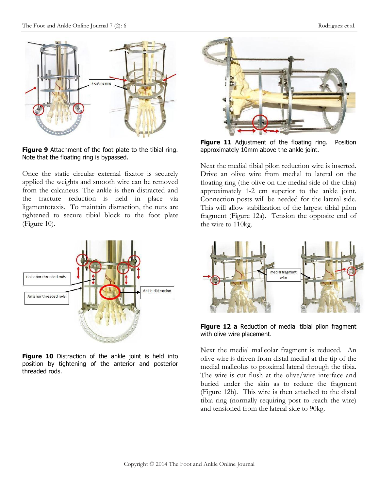

**Figure 9** Attachment of the foot plate to the tibial ring. Note that the floating ring is bypassed.

Once the static circular external fixator is securely applied the weights and smooth wire can be removed from the calcaneus. The ankle is then distracted and the fracture reduction is held in place via ligamentotaxis. To maintain distraction, the nuts are tightened to secure tibial block to the foot plate (Figure 10).



Figure 10 Distraction of the ankle joint is held into position by tightening of the anterior and posterior threaded rods.



**Figure 11** Adjustment of the floating ring. Position approximately 10mm above the ankle joint.

Next the medial tibial pilon reduction wire is inserted. Drive an olive wire from medial to lateral on the floating ring (the olive on the medial side of the tibia) approximately 1-2 cm superior to the ankle joint. Connection posts will be needed for the lateral side. This will allow stabilization of the largest tibial pilon fragment (Figure 12a). Tension the opposite end of the wire to 110kg.



**Figure 12 a** Reduction of medial tibial pilon fragment with olive wire placement.

Next the medial malleolar fragment is reduced. An olive wire is driven from distal medial at the tip of the medial malleolus to proximal lateral through the tibia. The wire is cut flush at the olive/wire interface and buried under the skin as to reduce the fragment (Figure 12b). This wire is then attached to the distal tibia ring (normally requiring post to reach the wire) and tensioned from the lateral side to 90kg.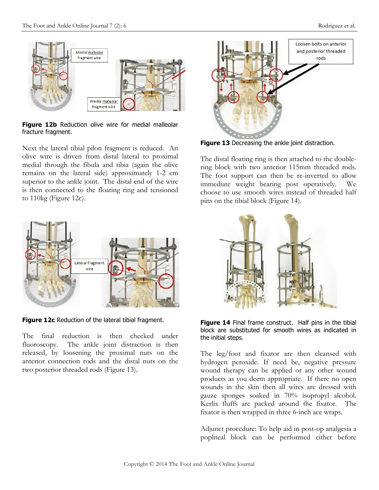

**Figure 12b** Reduction olive wire for medial malleolar fracture fragment.

Next the lateral tibial pilon fragment is reduced. An olive wire is driven from distal lateral to proximal medial through the fibula and tibia (again the olive remains on the lateral side) approximately 1-2 cm superior to the ankle joint. The distal end of the wire is then connected to the floating ring and tensioned to 110kg (Figure 12c).



**Figure 12c** Reduction of the lateral tibial fragment.

The final reduction is then checked under fluoroscopy. The ankle joint distraction is then released, by loosening the proximal nuts on the anterior connection rods and the distal nuts on the two posterior threaded rods (Figure 13).



**Figure 13** Decreasing the ankle joint distraction.

The distal floating ring is then attached to the doublering block with two anterior 115mm threaded rods. The foot support can then be re-inverted to allow immediate weight bearing post operatively. We choose to use smooth wires instead of threaded half pins on the tibial block (Figure 14).



**Figure 14** Final frame construct. Half pins in the tibial block are substituted for smooth wires as indicated in the initial steps.

The leg/foot and fixator are then cleansed with hydrogen peroxide. If need be, negative pressure wound therapy can be applied or any other wound products as you deem appropriate. If there no open wounds in the skin then all wires are dressed with gauze sponges soaked in 70% isopropyl alcohol. Kerlix fluffs are packed around the fixator. The fixator is then wrapped in three 6-inch ace wraps.

Adjunct procedure: To help aid in post-op analgesia a popliteal block can be performed either before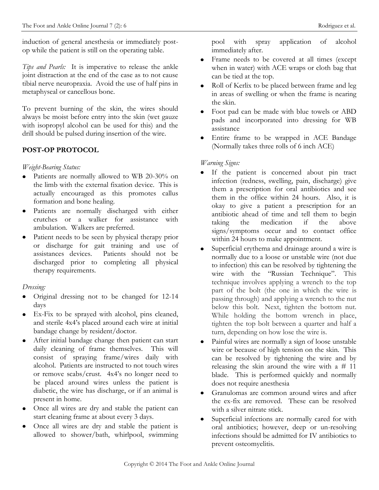induction of general anesthesia or immediately postop while the patient is still on the operating table.

*Tips and Pearls:* It is imperative to release the ankle joint distraction at the end of the case as to not cause tibial nerve neuropraxia. Avoid the use of half pins in metaphyseal or cancellous bone.

To prevent burning of the skin, the wires should always be moist before entry into the skin (wet gauze with isopropyl alcohol can be used for this) and the drill should be pulsed during insertion of the wire.

# **POST-OP PROTOCOL**

### *Weight-Bearing Status:*

- Patients are normally allowed to WB 20-30% on  $\bullet$ the limb with the external fixation device. This is actually encouraged as this promotes callus formation and bone healing.
- Patients are normally discharged with either  $\bullet$ crutches or a walker for assistance with ambulation. Walkers are preferred.
- Patient needs to be seen by physical therapy prior  $\bullet$ or discharge for gait training and use of assistances devices. Patients should not be discharged prior to completing all physical therapy requirements.

## *Dressing:*

- Original dressing not to be changed for 12-14  $\bullet$ days
- Ex-Fix to be sprayed with alcohol, pins cleaned, and sterile 4x4's placed around each wire at initial bandage change by resident/doctor.
- After initial bandage change then patient can start daily cleaning of frame themselves. This will consist of spraying frame/wires daily with alcohol. Patients are instructed to not touch wires or remove scabs/crust. 4x4's no longer need to be placed around wires unless the patient is diabetic, the wire has discharge, or if an animal is present in home.
- Once all wires are dry and stable the patient can start cleaning frame at about every 3 days.
- Once all wires are dry and stable the patient is allowed to shower/bath, whirlpool, swimming

pool with spray application of alcohol immediately after.

- Frame needs to be covered at all times (except when in water) with ACE wraps or cloth bag that can be tied at the top.
- Roll of Kerlix to be placed between frame and leg in areas of swelling or when the frame is nearing the skin.
- Foot pad can be made with blue towels or ABD pads and incorporated into dressing for WB assistance
- Entire frame to be wrapped in ACE Bandage (Normally takes three rolls of 6 inch ACE)

## *Warning Signs:*

- If the patient is concerned about pin tract infection (redness, swelling, pain, discharge) give them a prescription for oral antibiotics and see them in the office within 24 hours. Also, it is okay to give a patient a prescription for an antibiotic ahead of time and tell them to begin taking the medication if the above signs/symptoms occur and to contact office within 24 hours to make appointment.
- Superficial erythema and drainage around a wire is normally due to a loose or unstable wire (not due to infection) this can be resolved by tightening the wire with the "Russian Technique". This technique involves applying a wrench to the top part of the bolt (the one in which the wire is passing through) and applying a wrench to the nut below this bolt. Next, tighten the bottom nut. While holding the bottom wrench in place, tighten the top bolt between a quarter and half a turn, depending on how lose the wire is.
- Painful wires are normally a sign of loose unstable wire or because of high tension on the skin. This can be resolved by tightening the wire and by releasing the skin around the wire with a # 11 blade. This is performed quickly and normally does not require anesthesia
- Granulomas are common around wires and after the ex-fix are removed. These can be resolved with a silver nitrate stick.
- Superficial infections are normally cared for with oral antibiotics; however, deep or un-resolving infections should be admitted for IV antibiotics to prevent osteomyelitis.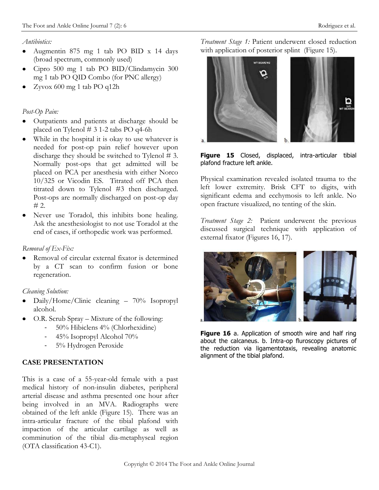#### *Antibiotics:*

- Augmentin 875 mg 1 tab PO BID x 14 days  $\bullet$ (broad spectrum, commonly used)
- Cipro 500 mg 1 tab PO BID/Clindamycin 300  $\bullet$ mg 1 tab PO QID Combo (for PNC allergy)
- Zyvox 600 mg 1 tab PO q12h  $\bullet$

# *Post-Op Pain:*

- Outpatients and patients at discharge should be placed on Tylenol # 3 1-2 tabs PO q4-6h
- While in the hospital it is okay to use whatever is  $\bullet$ needed for post-op pain relief however upon discharge they should be switched to Tylenol  $# 3$ . Normally post-ops that get admitted will be placed on PCA per anesthesia with either Norco 10/325 or Vicodin ES. Titrated off PCA then titrated down to Tylenol #3 then discharged. Post-ops are normally discharged on post-op day  $# 2.$
- Never use Toradol, this inhibits bone healing.  $\bullet$ Ask the anesthesiologist to not use Toradol at the end of cases, if orthopedic work was performed.

## *Removal of Ex-Fix:*

Removal of circular external fixator is determined by a CT scan to confirm fusion or bone regeneration.

## *Cleaning Solution:*

- Daily/Home/Clinic cleaning 70% Isopropyl  $\bullet$ alcohol.
- O.R. Scrub Spray Mixture of the following:
	- 50% Hibiclens 4% (Chlorhexidine)
	- 45% Isopropyl Alcohol 70%
	- 5% Hydrogen Peroxide

# **CASE PRESENTATION**

This is a case of a 55-year-old female with a past medical history of non-insulin diabetes, peripheral arterial disease and asthma presented one hour after being involved in an MVA. Radiographs were obtained of the left ankle (Figure 15). There was an intra-articular fracture of the tibial plafond with impaction of the articular cartilage as well as comminution of the tibial dia-metaphyseal region (OTA classification 43-C1).

*Treatment Stage 1:* Patient underwent closed reduction with application of posterior splint (Figure 15).



**Figure 15** Closed, displaced, intra-articular tibial plafond fracture left ankle.

Physical examination revealed isolated trauma to the left lower extremity. Brisk CFT to digits, with significant edema and ecchymosis to left ankle. No open fracture visualized, no tenting of the skin.

*Treatment Stage 2:* Patient underwent the previous discussed surgical technique with application of external fixator (Figures 16, 17).



Figure 16 a. Application of smooth wire and half ring about the calcaneus. b. Intra-op fluroscopy pictures of the reduction via ligamentotaxis, revealing anatomic alignment of the tibial plafond.